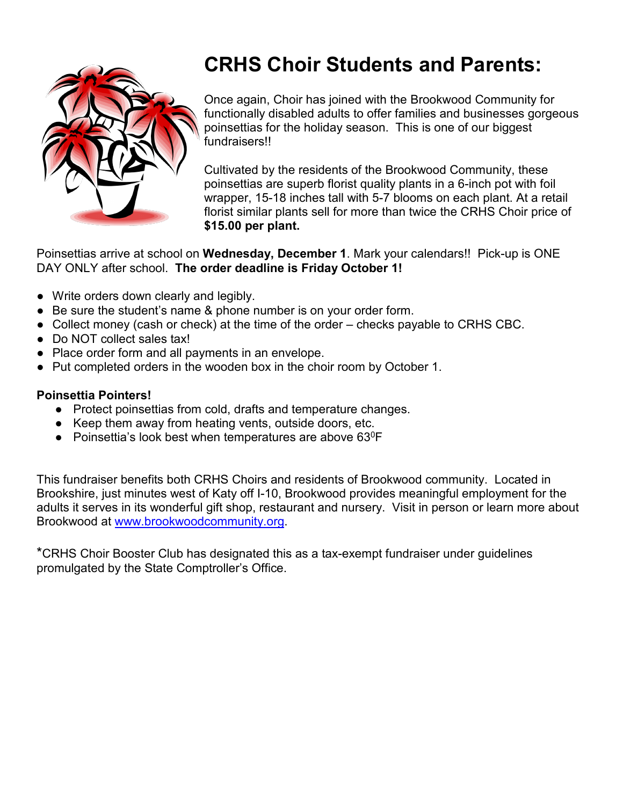

# **CRHS Choir Students and Parents:**

Once again, Choir has joined with the Brookwood Community for functionally disabled adults to offer families and businesses gorgeous poinsettias for the holiday season. This is one of our biggest fundraisers!!

Cultivated by the residents of the Brookwood Community, these poinsettias are superb florist quality plants in a 6-inch pot with foil wrapper, 15-18 inches tall with 5-7 blooms on each plant. At a retail florist similar plants sell for more than twice the CRHS Choir price of **\$15.00 per plant.**

Poinsettias arrive at school on **Wednesday, December 1**. Mark your calendars!! Pick-up is ONE DAY ONLY after school. **The order deadline is Friday October 1!**

- Write orders down clearly and legibly.
- Be sure the student's name & phone number is on your order form.
- Collect money (cash or check) at the time of the order checks payable to CRHS CBC.
- Do NOT collect sales tax!
- Place order form and all payments in an envelope.
- Put completed orders in the wooden box in the choir room by October 1.

### **Poinsettia Pointers!**

- Protect poinsettias from cold, drafts and temperature changes.
- Keep them away from heating vents, outside doors, etc.
- Poinsettia's look best when temperatures are above  $63^{\circ}F$

This fundraiser benefits both CRHS Choirs and residents of Brookwood community. Located in Brookshire, just minutes west of Katy off I-10, Brookwood provides meaningful employment for the adults it serves in its wonderful gift shop, restaurant and nursery. Visit in person or learn more about Brookwood at [www.brookwoodcommunity.org.](http://www.brookwoodcommunity.org/)

\*CRHS Choir Booster Club has designated this as a tax-exempt fundraiser under guidelines promulgated by the State Comptroller's Office.